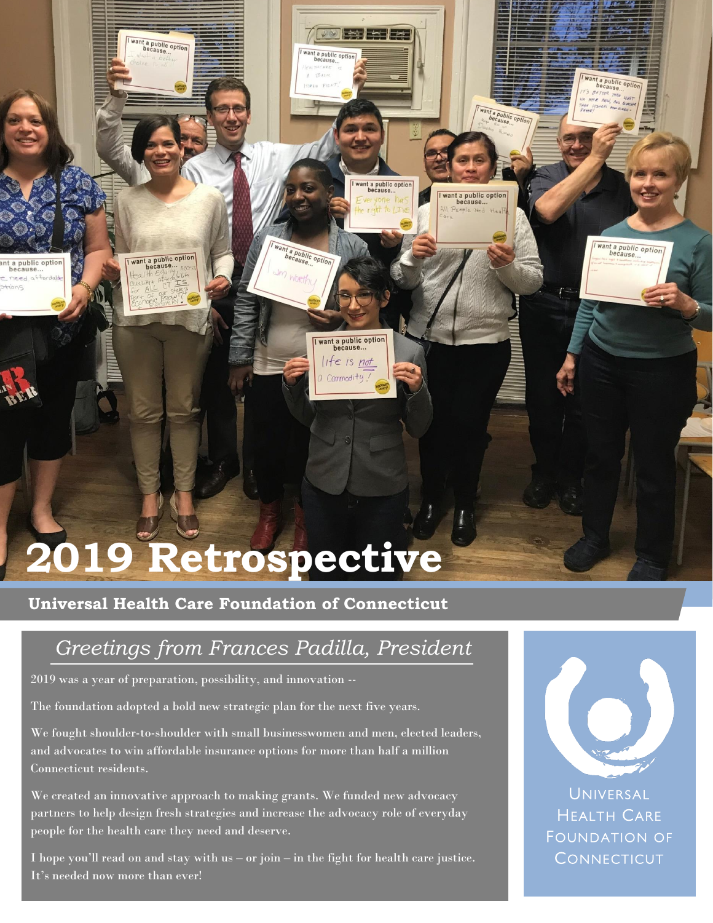# **2019 Retrospective**

**Universal Health Care Foundation of Connecticut**

### *Greetings from Frances Padilla, President*

**TOO BEERE** 

want a public option<br>because...

want a public optio

ant a public option

want a public option life is not  $Commodity$ .

Im Worth

2019 was a year of preparation, possibility, and innovation --

want a public option

want a public option

t a public option<br>because...

need affor

The foundation adopted a bold new strategic plan for the next five years.

We fought shoulder-to-shoulder with small businesswomen and men, elected leaders, and advocates to win affordable insurance options for more than half a million Connecticut residents.

We created an innovative approach to making grants. We funded new advocacy partners to help design fresh strategies and increase the advocacy role of everyday people for the health care they need and deserve.

I hope you'll read on and stay with us – or join – in the fight for health care justice. It's needed now more than ever!



want a public optio

want a public option

Want a public opti

ant a public option<br>because...

**UNIVERSAL HEALTH CARE** FOUNDATION OF **CONNECTICUT**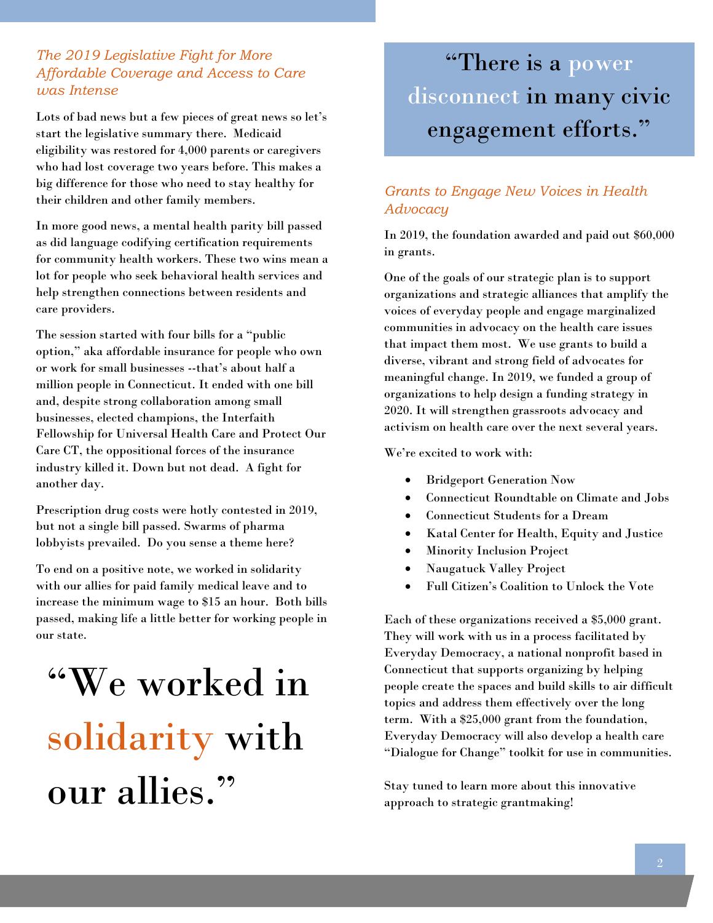#### *The 2019 Legislative Fight for More Affordable Coverage and Access to Care was Intense*

Lots of bad news but a few pieces of great news so let's start the legislative summary there. Medicaid eligibility was restored for 4,000 parents or caregivers who had lost coverage two years before. This makes a big difference for those who need to stay healthy for their children and other family members.

In more good news, a mental health parity bill passed as did language codifying certification requirements for community health workers. These two wins mean a lot for people who seek behavioral health services and help strengthen connections between residents and care providers.

The session started with four bills for a "public option," aka affordable insurance for people who own or work for small businesses --that's about half a million people in Connecticut. It ended with one bill and, despite strong collaboration among small businesses, elected champions, the Interfaith Fellowship for Universal Health Care and Protect Our Care CT, the oppositional forces of the insurance industry killed it. Down but not dead. A fight for another day.

Prescription drug costs were hotly contested in 2019, but not a single bill passed. Swarms of pharma lobbyists prevailed. Do you sense a theme here?

To end on a positive note, we worked in solidarity with our allies for paid family medical leave and to increase the minimum wage to \$15 an hour. Both bills passed, making life a little better for working people in our state.

## "We worked in solidarity with our allies."

### "There is a power disconnect in many civic engagement efforts."

#### *Grants to Engage New Voices in Health Advocacy*

In 2019, the foundation awarded and paid out \$60,000 in grants.

One of the goals of our strategic plan is to support organizations and strategic alliances that amplify the voices of everyday people and engage marginalized communities in advocacy on the health care issues that impact them most. We use grants to build a diverse, vibrant and strong field of advocates for meaningful change. In 2019, we funded a group of organizations to help design a funding strategy in 2020. It will strengthen grassroots advocacy and activism on health care over the next several years.

We're excited to work with:

- Bridgeport Generation Now
- Connecticut Roundtable on Climate and Jobs
- Connecticut Students for a Dream
- Katal Center for Health, Equity and Justice
- Minority Inclusion Project
- Naugatuck Valley Project
- Full Citizen's Coalition to Unlock the Vote

Each of these organizations received a \$5,000 grant. They will work with us in a process facilitated by Everyday Democracy, a national nonprofit based in Connecticut that supports organizing by helping people create the spaces and build skills to air difficult topics and address them effectively over the long term. With a \$25,000 grant from the foundation, Everyday Democracy will also develop a health care "Dialogue for Change" toolkit for use in communities.

Stay tuned to learn more about this innovative approach to strategic grantmaking!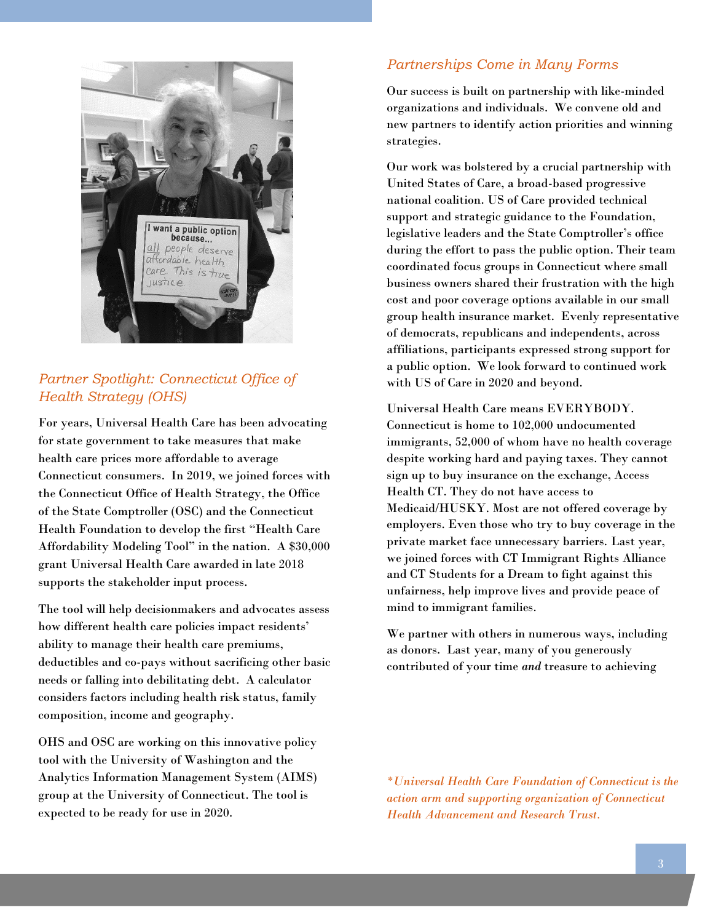

#### *Partner Spotlight: Connecticut Office of Health Strategy (OHS)*

For years, Universal Health Care has been advocating for state government to take measures that make health care prices more affordable to average Connecticut consumers. In 2019, we joined forces with the Connecticut Office of Health Strategy, the Office of the State Comptroller (OSC) and the Connecticut Health Foundation to develop the first "Health Care Affordability Modeling Tool" in the nation. A \$30,000 grant Universal Health Care awarded in late 2018 supports the stakeholder input process.

The tool will help decisionmakers and advocates assess how different health care policies impact residents' ability to manage their health care premiums, deductibles and co-pays without sacrificing other basic needs or falling into debilitating debt. A calculator considers factors including health risk status, family composition, income and geography.

OHS and OSC are working on this innovative policy tool with the University of Washington and the Analytics Information Management System (AIMS) group at the University of Connecticut. The tool is expected to be ready for use in 2020.

#### *Partnerships Come in Many Forms*

Our success is built on partnership with like-minded organizations and individuals. We convene old and new partners to identify action priorities and winning strategies.

during the effort to pass the public option. Their team Our work was bolstered by a crucial partnership with United States of Care, a broad-based progressive national coalition. US of Care provided technical support and strategic guidance to the Foundation, legislative leaders and the State Comptroller's office coordinated focus groups in Connecticut where small business owners shared their frustration with the high cost and poor coverage options available in our small group health insurance market. Evenly representative of democrats, republicans and independents, across affiliations, participants expressed strong support for a public option. We look forward to continued work with US of Care in 2020 and beyond.

Universal Health Care means EVERYBODY. Connecticut is home to 102,000 undocumented immigrants, 52,000 of whom have no health coverage despite working hard and paying taxes. They cannot sign up to buy insurance on the exchange, Access Health CT. They do not have access to Medicaid/HUSKY. Most are not offered coverage by employers. Even those who try to buy coverage in the private market face unnecessary barriers. Last year, we joined forces with CT Immigrant Rights Alliance and CT Students for a Dream to fight against this unfairness, help improve lives and provide peace of mind to immigrant families.

We partner with others in numerous ways, including as donors. Last year, many of you generously contributed of your time *and* treasure to achieving

*\*Universal Health Care Foundation of Connecticut is the action arm and supporting organization of Connecticut Health Advancement and Research Trust.*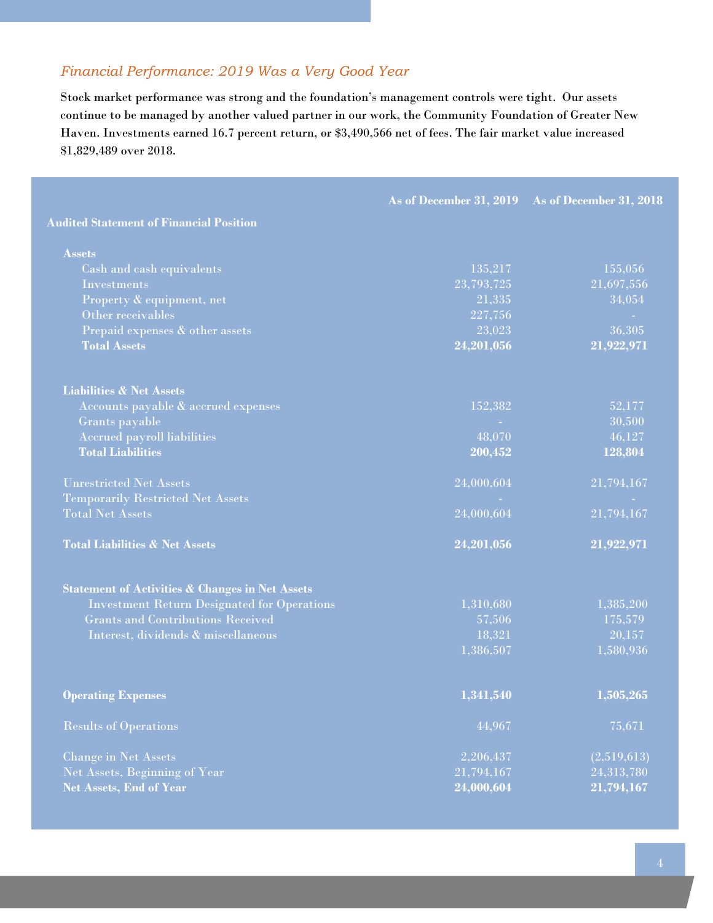#### *Financial Performance: 2019 Was a Very Good Year*

Stock market performance was strong and the foundation's management controls were tight. Our assets continue to be managed by another valued partner in our work, the Community Foundation of Greater New Haven. Investments earned 16.7 percent return, or \$3,490,566 net of fees. The fair market value increased \$1,829,489 over 2018.

|                                                            |            | As of December 31, 2019 As of December 31, 2018 |
|------------------------------------------------------------|------------|-------------------------------------------------|
| <b>Audited Statement of Financial Position</b>             |            |                                                 |
| <b>Assets</b>                                              |            |                                                 |
| Cash and cash equivalents                                  | 135,217    | 155,056                                         |
| <b>Investments</b>                                         | 23,793,725 | 21,697,556                                      |
| Property & equipment, net                                  | 21.335     | 34,054                                          |
| Other receivables                                          | 227,756    |                                                 |
| Prepaid expenses & other assets                            | 23,023     | 36,305                                          |
| <b>Total Assets</b>                                        | 24,201,056 | 21,922,971                                      |
| <b>Liabilities &amp; Net Assets</b>                        |            |                                                 |
| Accounts payable & accrued expenses                        | 152,382    | 52,177                                          |
| Grants payable                                             |            | 30,500                                          |
| <b>Accrued payroll liabilities</b>                         | 48,070     | 46,127                                          |
| <b>Total Liabilities</b>                                   | 200,452    | 128,804                                         |
| <b>Unrestricted Net Assets</b>                             | 24,000,604 | 21,794,167                                      |
| <b>Temporarily Restricted Net Assets</b>                   |            |                                                 |
| <b>Total Net Assets</b>                                    | 24,000,604 | 21,794,167                                      |
| <b>Total Liabilities &amp; Net Assets</b>                  | 24,201,056 | 21,922,971                                      |
| <b>Statement of Activities &amp; Changes in Net Assets</b> |            |                                                 |
| <b>Investment Return Designated for Operations</b>         | 1,310,680  | 1,385,200                                       |
| <b>Grants and Contributions Received</b>                   | 57,506     | 175,579                                         |
| Interest, dividends & miscellaneous                        | 18,321     | 20,157                                          |
|                                                            | 1,386,507  | 1,580,936                                       |
| <b>Operating Expenses</b>                                  | 1,341,540  | 1,505,265                                       |
| <b>Results of Operations</b>                               | 44,967     | 75,671                                          |
|                                                            |            |                                                 |
| <b>Change in Net Assets</b>                                | 2,206,437  | (2,519,613)                                     |
| Net Assets, Beginning of Year                              | 21,794,167 | 24,313,780                                      |
| <b>Net Assets, End of Year</b>                             | 24,000,604 | 21,794,167                                      |